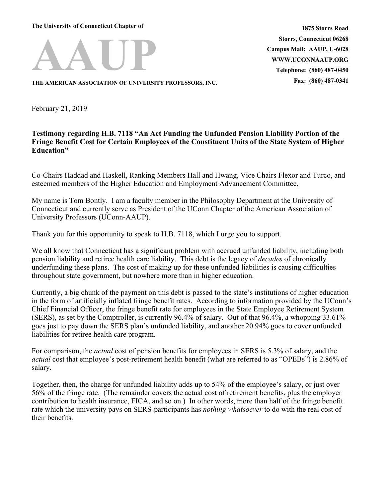**The University of Connecticut Chapter of**



**1875 Storrs Road Storrs, Connecticut 06268 Campus Mail: AAUP, U-6028 WWW.UCONNAAUP.ORG Telephone: (860) 487-0450 Fax: (860) 487-0341**

**THE AMERICAN ASSOCIATION OF UNIVERSITY PROFESSORS, INC.**

February 21, 2019

## **Testimony regarding H.B. 7118 "An Act Funding the Unfunded Pension Liability Portion of the Fringe Benefit Cost for Certain Employees of the Constituent Units of the State System of Higher Education"**

Co-Chairs Haddad and Haskell, Ranking Members Hall and Hwang, Vice Chairs Flexor and Turco, and esteemed members of the Higher Education and Employment Advancement Committee,

My name is Tom Bontly. I am a faculty member in the Philosophy Department at the University of Connecticut and currently serve as President of the UConn Chapter of the American Association of University Professors (UConn-AAUP).

Thank you for this opportunity to speak to H.B. 7118, which I urge you to support.

We all know that Connecticut has a significant problem with accrued unfunded liability, including both pension liability and retiree health care liability. This debt is the legacy of *decades* of chronically underfunding these plans. The cost of making up for these unfunded liabilities is causing difficulties throughout state government, but nowhere more than in higher education.

Currently, a big chunk of the payment on this debt is passed to the state's institutions of higher education in the form of artificially inflated fringe benefit rates. According to information provided by the UConn's Chief Financial Officer, the fringe benefit rate for employees in the State Employee Retirement System (SERS), as set by the Comptroller, is currently 96.4% of salary. Out of that 96.4%, a whopping 33.61% goes just to pay down the SERS plan's unfunded liability, and another 20.94% goes to cover unfunded liabilities for retiree health care program.

For comparison, the *actual* cost of pension benefits for employees in SERS is 5.3% of salary, and the *actual* cost that employee's post-retirement health benefit (what are referred to as "OPEBs") is 2.86% of salary.

Together, then, the charge for unfunded liability adds up to 54% of the employee's salary, or just over 56% of the fringe rate. (The remainder covers the actual cost of retirement benefits, plus the employer contribution to health insurance, FICA, and so on.) In other words, more than half of the fringe benefit rate which the university pays on SERS-participants has *nothing whatsoever* to do with the real cost of their benefits.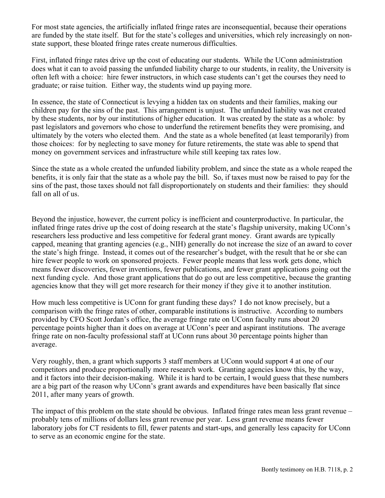For most state agencies, the artificially inflated fringe rates are inconsequential, because their operations are funded by the state itself. But for the state's colleges and universities, which rely increasingly on nonstate support, these bloated fringe rates create numerous difficulties.

First, inflated fringe rates drive up the cost of educating our students. While the UConn administration does what it can to avoid passing the unfunded liability charge to our students, in reality, the University is often left with a choice: hire fewer instructors, in which case students can't get the courses they need to graduate; or raise tuition. Either way, the students wind up paying more.

In essence, the state of Connecticut is levying a hidden tax on students and their families, making our children pay for the sins of the past. This arrangement is unjust. The unfunded liability was not created by these students, nor by our institutions of higher education. It was created by the state as a whole: by past legislators and governors who chose to underfund the retirement benefits they were promising, and ultimately by the voters who elected them. And the state as a whole benefited (at least temporarily) from those choices: for by neglecting to save money for future retirements, the state was able to spend that money on government services and infrastructure while still keeping tax rates low.

Since the state as a whole created the unfunded liability problem, and since the state as a whole reaped the benefits, it is only fair that the state as a whole pay the bill. So, if taxes must now be raised to pay for the sins of the past, those taxes should not fall disproportionately on students and their families: they should fall on all of us.

Beyond the injustice, however, the current policy is inefficient and counterproductive. In particular, the inflated fringe rates drive up the cost of doing research at the state's flagship university, making UConn's researchers less productive and less competitive for federal grant money. Grant awards are typically capped, meaning that granting agencies (e.g., NIH) generally do not increase the size of an award to cover the state's high fringe. Instead, it comes out of the researcher's budget, with the result that he or she can hire fewer people to work on sponsored projects. Fewer people means that less work gets done, which means fewer discoveries, fewer inventions, fewer publications, and fewer grant applications going out the next funding cycle. And those grant applications that do go out are less competitive, because the granting agencies know that they will get more research for their money if they give it to another institution.

How much less competitive is UConn for grant funding these days? I do not know precisely, but a comparison with the fringe rates of other, comparable institutions is instructive. According to numbers provided by CFO Scott Jordan's office, the average fringe rate on UConn faculty runs about 20 percentage points higher than it does on average at UConn's peer and aspirant institutions. The average fringe rate on non-faculty professional staff at UConn runs about 30 percentage points higher than average.

Very roughly, then, a grant which supports 3 staff members at UConn would support 4 at one of our competitors and produce proportionally more research work. Granting agencies know this, by the way, and it factors into their decision-making. While it is hard to be certain, I would guess that these numbers are a big part of the reason why UConn's grant awards and expenditures have been basically flat since 2011, after many years of growth.

The impact of this problem on the state should be obvious. Inflated fringe rates mean less grant revenue – probably tens of millions of dollars less grant revenue per year. Less grant revenue means fewer laboratory jobs for CT residents to fill, fewer patents and start-ups, and generally less capacity for UConn to serve as an economic engine for the state.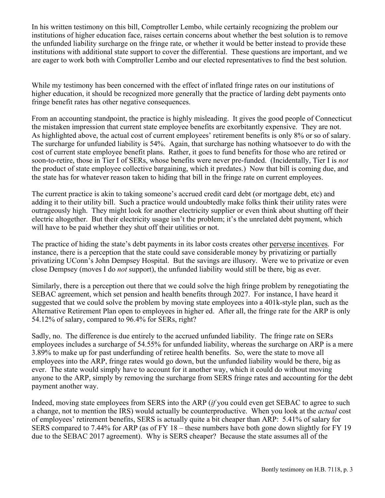In his written testimony on this bill, Comptroller Lembo, while certainly recognizing the problem our institutions of higher education face, raises certain concerns about whether the best solution is to remove the unfunded liability surcharge on the fringe rate, or whether it would be better instead to provide these institutions with additional state support to cover the differential. These questions are important, and we are eager to work both with Comptroller Lembo and our elected representatives to find the best solution.

While my testimony has been concerned with the effect of inflated fringe rates on our institutions of higher education, it should be recognized more generally that the practice of larding debt payments onto fringe benefit rates has other negative consequences.

From an accounting standpoint, the practice is highly misleading. It gives the good people of Connecticut the mistaken impression that current state employee benefits are exorbitantly expensive. They are not. As highlighted above, the actual cost of current employees' retirement benefits is only 8% or so of salary. The surcharge for unfunded liability is 54%. Again, that surcharge has nothing whatsoever to do with the cost of current state employee benefit plans. Rather, it goes to fund benefits for those who are retired or soon-to-retire, those in Tier I of SERs, whose benefits were never pre-funded. (Incidentally, Tier I is *not* the product of state employee collective bargaining, which it predates.) Now that bill is coming due, and the state has for whatever reason taken to hiding that bill in the fringe rate on current employees.

The current practice is akin to taking someone's accrued credit card debt (or mortgage debt, etc) and adding it to their utility bill. Such a practice would undoubtedly make folks think their utility rates were outrageously high. They might look for another electricity supplier or even think about shutting off their electric altogether. But their electricity usage isn't the problem; it's the unrelated debt payment, which will have to be paid whether they shut off their utilities or not.

The practice of hiding the state's debt payments in its labor costs creates other perverse incentives. For instance, there is a perception that the state could save considerable money by privatizing or partially privatizing UConn's John Dempsey Hospital. But the savings are illusory. Were we to privatize or even close Dempsey (moves I do *not* support), the unfunded liability would still be there, big as ever.

Similarly, there is a perception out there that we could solve the high fringe problem by renegotiating the SEBAC agreement, which set pension and health benefits through 2027. For instance, I have heard it suggested that we could solve the problem by moving state employees into a 401k-style plan, such as the Alternative Retirement Plan open to employees in higher ed. After all, the fringe rate for the ARP is only 54.12% of salary, compared to 96.4% for SERs, right?

Sadly, no. The difference is due entirely to the accrued unfunded liability. The fringe rate on SERs employees includes a surcharge of 54.55% for unfunded liability, whereas the surcharge on ARP is a mere 3.89% to make up for past underfunding of retiree health benefits. So, were the state to move all employees into the ARP, fringe rates would go down, but the unfunded liability would be there, big as ever. The state would simply have to account for it another way, which it could do without moving anyone to the ARP, simply by removing the surcharge from SERS fringe rates and accounting for the debt payment another way.

Indeed, moving state employees from SERS into the ARP (*if* you could even get SEBAC to agree to such a change, not to mention the IRS) would actually be counterproductive. When you look at the *actual* cost of employees' retirement benefits, SERS is actually quite a bit cheaper than ARP: 5.41% of salary for SERS compared to 7.44% for ARP (as of FY 18 – these numbers have both gone down slightly for FY 19 due to the SEBAC 2017 agreement). Why is SERS cheaper? Because the state assumes all of the